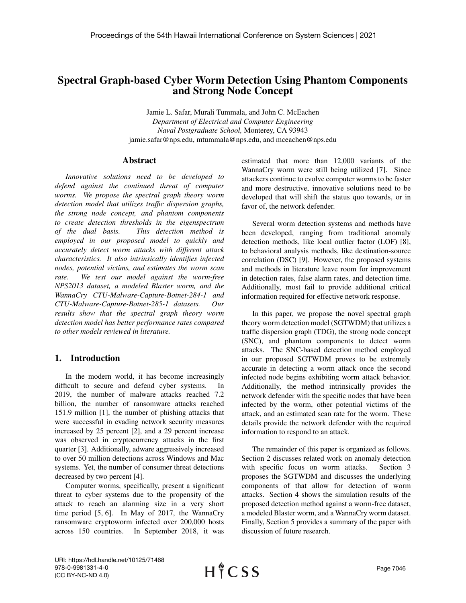# Spectral Graph-based Cyber Worm Detection Using Phantom Components and Strong Node Concept

Jamie L. Safar, Murali Tummala, and John C. McEachen *Department of Electrical and Computer Engineering Naval Postgraduate School,* Monterey, CA 93943 jamie.safar@nps.edu, mtummala@nps.edu, and mceachen@nps.edu

## Abstract

*Innovative solutions need to be developed to defend against the continued threat of computer worms. We propose the spectral graph theory worm detection model that utilizes traffic dispersion graphs, the strong node concept, and phantom components to create detection thresholds in the eigenspectrum of the dual basis. This detection method is employed in our proposed model to quickly and accurately detect worm attacks with different attack characteristics. It also intrinsically identifies infected nodes, potential victims, and estimates the worm scan rate. We test our model against the worm-free NPS2013 dataset, a modeled Blaster worm, and the WannaCry CTU-Malware-Capture-Botnet-284-1 and CTU-Malware-Capture-Botnet-285-1 datasets. Our results show that the spectral graph theory worm detection model has better performance rates compared to other models reviewed in literature.*

## 1. Introduction

In the modern world, it has become increasingly difficult to secure and defend cyber systems. In 2019, the number of malware attacks reached 7.2 billion, the number of ransomware attacks reached 151.9 million [1], the number of phishing attacks that were successful in evading network security measures increased by 25 percent [2], and a 29 percent increase was observed in cryptocurrency attacks in the first quarter [3]. Additionally, adware aggressively increased to over 50 million detections across Windows and Mac systems. Yet, the number of consumer threat detections decreased by two percent [4].

Computer worms, specifically, present a significant threat to cyber systems due to the propensity of the attack to reach an alarming size in a very short time period [5, 6]. In May of 2017, the WannaCry ransomware cryptoworm infected over 200,000 hosts across 150 countries. In September 2018, it was estimated that more than 12,000 variants of the WannaCry worm were still being utilized [7]. Since attackers continue to evolve computer worms to be faster and more destructive, innovative solutions need to be developed that will shift the status quo towards, or in favor of, the network defender.

Several worm detection systems and methods have been developed, ranging from traditional anomaly detection methods, like local outlier factor (LOF) [8], to behavioral analysis methods, like destination-source correlation (DSC) [9]. However, the proposed systems and methods in literature leave room for improvement in detection rates, false alarm rates, and detection time. Additionally, most fail to provide additional critical information required for effective network response.

In this paper, we propose the novel spectral graph theory worm detection model (SGTWDM) that utilizes a traffic dispersion graph (TDG), the strong node concept (SNC), and phantom components to detect worm attacks. The SNC-based detection method employed in our proposed SGTWDM proves to be extremely accurate in detecting a worm attack once the second infected node begins exhibiting worm attack behavior. Additionally, the method intrinsically provides the network defender with the specific nodes that have been infected by the worm, other potential victims of the attack, and an estimated scan rate for the worm. These details provide the network defender with the required information to respond to an attack.

The remainder of this paper is organized as follows. Section 2 discusses related work on anomaly detection with specific focus on worm attacks. Section 3 proposes the SGTWDM and discusses the underlying components of that allow for detection of worm attacks. Section 4 shows the simulation results of the proposed detection method against a worm-free dataset, a modeled Blaster worm, and a WannaCry worm dataset. Finally, Section 5 provides a summary of the paper with discussion of future research.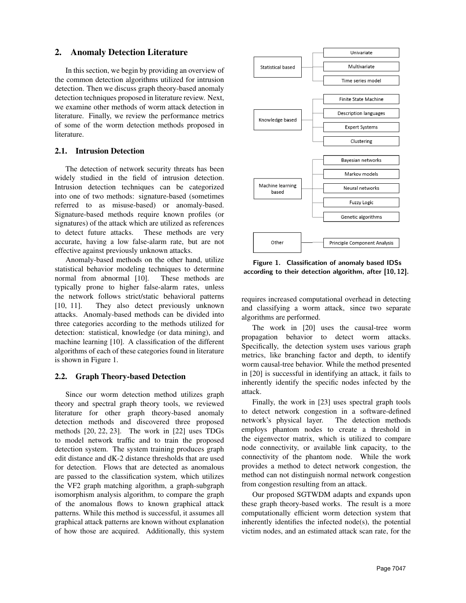## 2. Anomaly Detection Literature

In this section, we begin by providing an overview of the common detection algorithms utilized for intrusion detection. Then we discuss graph theory-based anomaly detection techniques proposed in literature review. Next, we examine other methods of worm attack detection in literature. Finally, we review the performance metrics of some of the worm detection methods proposed in literature.

## 2.1. Intrusion Detection

The detection of network security threats has been widely studied in the field of intrusion detection. Intrusion detection techniques can be categorized into one of two methods: signature-based (sometimes referred to as misuse-based) or anomaly-based. Signature-based methods require known profiles (or signatures) of the attack which are utilized as references to detect future attacks. These methods are very accurate, having a low false-alarm rate, but are not effective against previously unknown attacks.

Anomaly-based methods on the other hand, utilize statistical behavior modeling techniques to determine normal from abnormal [10]. These methods are typically prone to higher false-alarm rates, unless the network follows strict/static behavioral patterns [10, 11]. They also detect previously unknown attacks. Anomaly-based methods can be divided into three categories according to the methods utilized for detection: statistical, knowledge (or data mining), and machine learning [10]. A classification of the different algorithms of each of these categories found in literature is shown in Figure 1.

## 2.2. Graph Theory-based Detection

Since our worm detection method utilizes graph theory and spectral graph theory tools, we reviewed literature for other graph theory-based anomaly detection methods and discovered three proposed methods [20, 22, 23]. The work in [22] uses TDGs to model network traffic and to train the proposed detection system. The system training produces graph edit distance and dK-2 distance thresholds that are used for detection. Flows that are detected as anomalous are passed to the classification system, which utilizes the VF2 graph matching algorithm, a graph-subgraph isomorphism analysis algorithm, to compare the graph of the anomalous flows to known graphical attack patterns. While this method is successful, it assumes all graphical attack patterns are known without explanation of how those are acquired. Additionally, this system



Figure 1. Classification of anomaly based IDSs according to their detection algorithm, after [10, 12].

requires increased computational overhead in detecting and classifying a worm attack, since two separate algorithms are performed.

The work in [20] uses the causal-tree worm propagation behavior to detect worm attacks. Specifically, the detection system uses various graph metrics, like branching factor and depth, to identify worm causal-tree behavior. While the method presented in [20] is successful in identifying an attack, it fails to inherently identify the specific nodes infected by the attack.

Finally, the work in [23] uses spectral graph tools to detect network congestion in a software-defined network's physical layer. The detection methods employs phantom nodes to create a threshold in the eigenvector matrix, which is utilized to compare node connectivity, or available link capacity, to the connectivity of the phantom node. While the work provides a method to detect network congestion, the method can not distinguish normal network congestion from congestion resulting from an attack.

Our proposed SGTWDM adapts and expands upon these graph theory-based works. The result is a more computationally efficient worm detection system that inherently identifies the infected node(s), the potential victim nodes, and an estimated attack scan rate, for the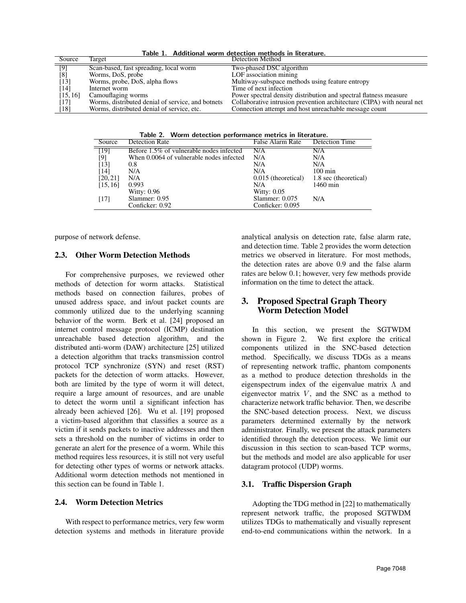Table 1. Additional worm detection methods in literature.

| Source             | Target                                            | <b>Detection Method</b>                                                |
|--------------------|---------------------------------------------------|------------------------------------------------------------------------|
| [9]                | Scan-based, fast spreading, local worm            | Two-phased DSC algorithm                                               |
| [8]                | Worms, DoS, probe                                 | LOF association mining                                                 |
| $[13]$             | Worms, probe, DoS, alpha flows                    | Multiway-subspace methods using feature entropy                        |
| $\lceil 14 \rceil$ | Internet worm                                     | Time of next infection                                                 |
| [15, 16]           | Camouflaging worms                                | Power spectral density distribution and spectral flatness measure      |
| [17]               | Worms, distributed denial of service, and botnets | Collaborative intrusion prevention architecture (CIPA) with neural net |
| [18]               | Worms, distributed denial of service, etc.        | Connection attempt and host unreachable message count                  |

Table 2. Worm detection performance metrics in literature.

| Source          | <b>Detection Rate</b>                    | <b>False Alarm Rate</b> | <b>Detection Time</b> |
|-----------------|------------------------------------------|-------------------------|-----------------------|
| $\overline{19}$ | Before 1.5% of vulnerable nodes infected | N/A                     | N/A                   |
| [9]             | When 0.0064 of vulnerable nodes infected | N/A                     | N/A                   |
| [13]            | 0.8                                      | N/A                     | N/A                   |
| [14]            | N/A                                      | N/A                     | $100 \text{ min}$     |
| [20, 21]        | N/A                                      | 0.015 (theoretical)     | 1.8 sec (theoretical) |
| [15, 16]        | 0.993                                    | N/A                     | 1460 min              |
|                 | <b>Witty: 0.96</b>                       | Witty: $0.05$           |                       |
| [17]            | Slammer: 0.95                            | Slammer: $0.075$        | N/A                   |
|                 | Conficker: 0.92                          | Conficker: 0.095        |                       |

purpose of network defense.

## 2.3. Other Worm Detection Methods

For comprehensive purposes, we reviewed other methods of detection for worm attacks. Statistical methods based on connection failures, probes of unused address space, and in/out packet counts are commonly utilized due to the underlying scanning behavior of the worm. Berk et al. [24] proposed an internet control message protocol (ICMP) destination unreachable based detection algorithm, and the distributed anti-worm (DAW) architecture [25] utilized a detection algorithm that tracks transmission control protocol TCP synchronize (SYN) and reset (RST) packets for the detection of worm attacks. However, both are limited by the type of worm it will detect, require a large amount of resources, and are unable to detect the worm until a significant infection has already been achieved [26]. Wu et al. [19] proposed a victim-based algorithm that classifies a source as a victim if it sends packets to inactive addresses and then sets a threshold on the number of victims in order to generate an alert for the presence of a worm. While this method requires less resources, it is still not very useful for detecting other types of worms or network attacks. Additional worm detection methods not mentioned in this section can be found in Table 1.

#### 2.4. Worm Detection Metrics

With respect to performance metrics, very few worm detection systems and methods in literature provide

analytical analysis on detection rate, false alarm rate, and detection time. Table 2 provides the worm detection metrics we observed in literature. For most methods, the detection rates are above 0.9 and the false alarm rates are below 0.1; however, very few methods provide information on the time to detect the attack.

## 3. Proposed Spectral Graph Theory Worm Detection Model

In this section, we present the SGTWDM shown in Figure 2. We first explore the critical components utilized in the SNC-based detection method. Specifically, we discuss TDGs as a means of representing network traffic, phantom components as a method to produce detection thresholds in the eigenspectrum index of the eigenvalue matrix  $\Lambda$  and eigenvector matrix  $V$ , and the SNC as a method to characterize network traffic behavior. Then, we describe the SNC-based detection process. Next, we discuss parameters determined externally by the network administrator. Finally, we present the attack parameters identified through the detection process. We limit our discussion in this section to scan-based TCP worms, but the methods and model are also applicable for user datagram protocol (UDP) worms.

#### 3.1. Traffic Dispersion Graph

Adopting the TDG method in [22] to mathematically represent network traffic, the proposed SGTWDM utilizes TDGs to mathematically and visually represent end-to-end communications within the network. In a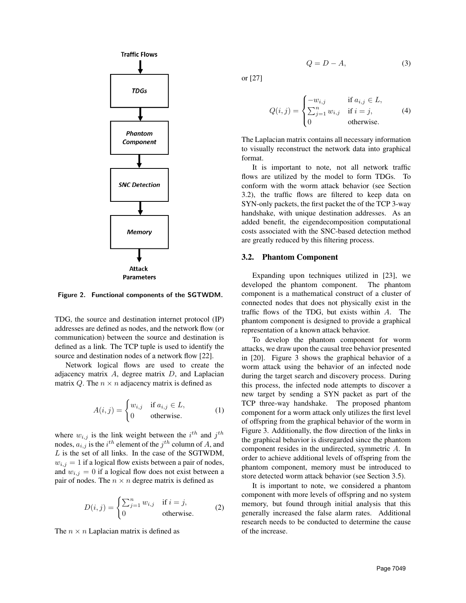

Figure 2. Functional components of the SGTWDM.

TDG, the source and destination internet protocol (IP) addresses are defined as nodes, and the network flow (or communication) between the source and destination is defined as a link. The TCP tuple is used to identify the source and destination nodes of a network flow [22].

Network logical flows are used to create the adjacency matrix  $A$ , degree matrix  $D$ , and Laplacian matrix Q. The  $n \times n$  adjacency matrix is defined as

$$
A(i,j) = \begin{cases} w_{i,j} & \text{if } a_{i,j} \in L, \\ 0 & \text{otherwise.} \end{cases}
$$
 (1)

where  $w_{i,j}$  is the link weight between the  $i^{th}$  and  $j^{th}$ nodes,  $a_{i,j}$  is the  $i^{th}$  element of the  $j^{th}$  column of A, and L is the set of all links. In the case of the SGTWDM,  $w_{i,j} = 1$  if a logical flow exists between a pair of nodes, and  $w_{i,j} = 0$  if a logical flow does not exist between a pair of nodes. The  $n \times n$  degree matrix is defined as

$$
D(i,j) = \begin{cases} \sum_{j=1}^{n} w_{i,j} & \text{if } i = j, \\ 0 & \text{otherwise.} \end{cases}
$$
 (2)

The  $n \times n$  Laplacian matrix is defined as

$$
Q = D - A,\t\t(3)
$$

or [27]

$$
Q(i,j) = \begin{cases} -w_{i,j} & \text{if } a_{i,j} \in L, \\ \sum_{j=1}^{n} w_{i,j} & \text{if } i = j, \\ 0 & \text{otherwise.} \end{cases}
$$
 (4)

The Laplacian matrix contains all necessary information to visually reconstruct the network data into graphical format.

It is important to note, not all network traffic flows are utilized by the model to form TDGs. To conform with the worm attack behavior (see Section 3.2), the traffic flows are filtered to keep data on SYN-only packets, the first packet the of the TCP 3-way handshake, with unique destination addresses. As an added benefit, the eigendecomposition computational costs associated with the SNC-based detection method are greatly reduced by this filtering process.

#### 3.2. Phantom Component

Expanding upon techniques utilized in [23], we developed the phantom component. The phantom component is a mathematical construct of a cluster of connected nodes that does not physically exist in the traffic flows of the TDG, but exists within A. The phantom component is designed to provide a graphical representation of a known attack behavior.

To develop the phantom component for worm attacks, we draw upon the causal tree behavior presented in [20]. Figure 3 shows the graphical behavior of a worm attack using the behavior of an infected node during the target search and discovery process. During this process, the infected node attempts to discover a new target by sending a SYN packet as part of the TCP three-way handshake. The proposed phantom component for a worm attack only utilizes the first level of offspring from the graphical behavior of the worm in Figure 3. Additionally, the flow direction of the links in the graphical behavior is disregarded since the phantom component resides in the undirected, symmetric A. In order to achieve additional levels of offspring from the phantom component, memory must be introduced to store detected worm attack behavior (see Section 3.5).

It is important to note, we considered a phantom component with more levels of offspring and no system memory, but found through initial analysis that this generally increased the false alarm rates. Additional research needs to be conducted to determine the cause of the increase.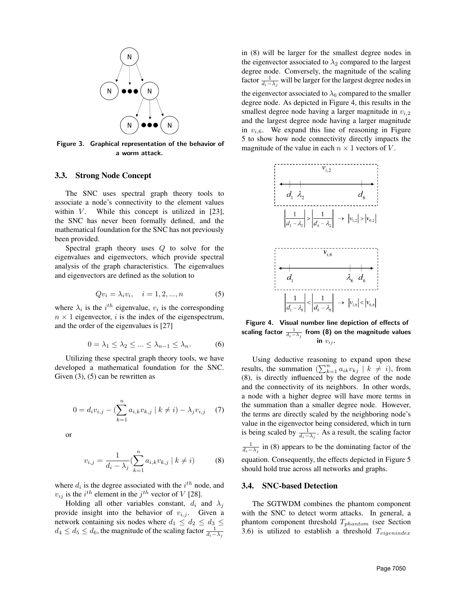

Figure 3. Graphical representation of the behavior of a worm attack.

## 3.3. Strong Node Concept

The SNC uses spectral graph theory tools to associate a node's connectivity to the element values within  $V$ . While this concept is utilized in [23], the SNC has never been formally defined, and the mathematical foundation for the SNC has not previously been provided.

Spectral graph theory uses Q to solve for the eigenvalues and eigenvectors, which provide spectral analysis of the graph characteristics. The eigenvalues and eigenvectors are defined as the solution to

$$
Qv_i = \lambda_i v_i, \quad i = 1, 2, ..., n
$$
 (5)

where  $\lambda_i$  is the  $i^{th}$  eigenvalue,  $v_i$  is the corresponding  $n \times 1$  eigenvector, i is the index of the eigenspectrum, and the order of the eigenvalues is [27]

$$
0 = \lambda_1 \le \lambda_2 \le \dots \le \lambda_{n-1} \le \lambda_n. \tag{6}
$$

Utilizing these spectral graph theory tools, we have developed a mathematical foundation for the SNC. Given  $(3)$ ,  $(5)$  can be rewritten as

$$
0 = d_i v_{i,j} - (\sum_{k=1}^n a_{i,k} v_{k,j} \mid k \neq i) - \lambda_j v_{i,j} \quad (7)
$$

or

$$
v_{i,j} = \frac{1}{d_i - \lambda_j} \left( \sum_{k=1}^n a_{i,k} v_{k,j} \mid k \neq i \right)
$$
 (8)

where  $d_i$  is the degree associated with the  $i^{th}$  node, and  $v_{ij}$  is the  $i^{th}$  element in the  $j^{th}$  vector of V [28].

Holding all other variables constant,  $d_i$  and  $\lambda_i$ provide insight into the behavior of  $v_{i,j}$ . Given a network containing six nodes where  $d_1 \leq d_2 \leq d_3 \leq$  $d_4\leq d_5\leq d_6,$  the magnitude of the scaling factor  $\frac{1}{d_i-\lambda_j}$ 

in (8) will be larger for the smallest degree nodes in the eigenvector associated to  $\lambda_2$  compared to the largest degree node. Conversely, the magnitude of the scaling factor  $\frac{1}{d_i - \lambda_j}$  will be larger for the largest degree nodes in the eigenvector associated to  $\lambda_6$  compared to the smaller degree node. As depicted in Figure 4, this results in the smallest degree node having a larger magnitude in  $v_{i,2}$ and the largest degree node having a larger magnitude in  $v_{i,6}$ . We expand this line of reasoning in Figure 5 to show how node connectivity directly impacts the magnitude of the value in each  $n \times 1$  vectors of V.



Figure 4. Visual number line depiction of effects of scaling factor  $\frac{1}{d_i - \lambda_j}$  from (8) on the magnitude values in  $v_{ij}$ .

Using deductive reasoning to expand upon these results, the summation  $\left(\sum_{k=1}^n a_{ik}v_{kj}\right) \mid k \neq i$ , from (8), is directly influenced by the degree of the node and the connectivity of its neighbors. In other words, a node with a higher degree will have more terms in the summation than a smaller degree node. However, the terms are directly scaled by the neighboring node's value in the eigenvector being considered, which in turn is being scaled by  $\frac{1}{d_i - \lambda_j}$ . As a result, the scaling factor  $\frac{1}{d_i - \lambda_j}$  in (8) appears to be the dominating factor of the equation. Consequently, the effects depicted in Figure 5 should hold true across all networks and graphs.

## 3.4. SNC-based Detection

The SGTWDM combines the phantom component with the SNC to detect worm attacks. In general, a phantom component threshold  $T_{phantom}$  (see Section 3.6) is utilized to establish a threshold  $T_{eigenindex}$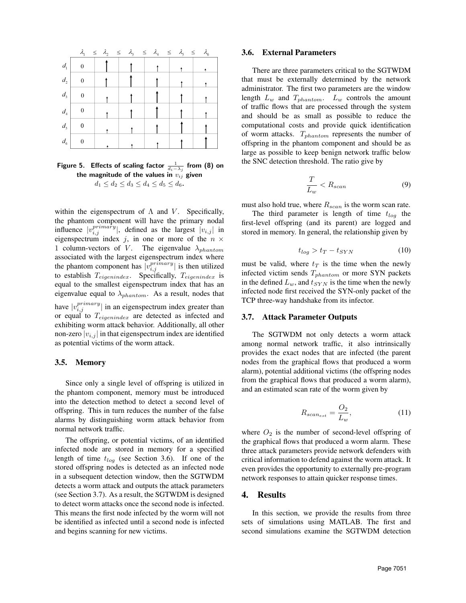

Figure 5. Effects of scaling factor  $\frac{1}{d_i-\lambda_j}$  from (8) on the magnitude of the values in  $v_{ij}$  given  $d_1 \leq d_2 \leq d_3 \leq d_4 \leq d_5 \leq d_6.$ 

within the eigenspectrum of  $\Lambda$  and  $V$ . Specifically, the phantom component will have the primary nodal influence  $|v_{i,j}^{primary}|$ , defined as the largest  $|v_{i,j}|$  in eigenspectrum index j, in one or more of the  $n \times$ 1 column-vectors of V. The eigenvalue  $\lambda_{phantom}$ associated with the largest eigenspectrum index where the phantom component has  $|v_{i,j}^{primary}|$  is then utilized to establish  $T_{eigenindex}$ . Specifically,  $T_{eigenindex}$  is equal to the smallest eigenspectrum index that has an eigenvalue equal to  $\lambda_{phantom}$ . As a result, nodes that have  $|v_{i,j}^{primary}|$  in an eigenspectrum index greater than or equal to  $T_{eigenindex}$  are detected as infected and exhibiting worm attack behavior. Additionally, all other non-zero  $|v_{i,j}|$  in that eigenspectrum index are identified as potential victims of the worm attack.

## 3.5. Memory

Since only a single level of offspring is utilized in the phantom component, memory must be introduced into the detection method to detect a second level of offspring. This in turn reduces the number of the false alarms by distinguishing worm attack behavior from normal network traffic.

The offspring, or potential victims, of an identified infected node are stored in memory for a specified length of time  $t_{log}$  (see Section 3.6). If one of the stored offspring nodes is detected as an infected node in a subsequent detection window, then the SGTWDM detects a worm attack and outputs the attack parameters (see Section 3.7). As a result, the SGTWDM is designed to detect worm attacks once the second node is infected. This means the first node infected by the worm will not be identified as infected until a second node is infected and begins scanning for new victims.

#### 3.6. External Parameters

There are three parameters critical to the SGTWDM that must be externally determined by the network administrator. The first two parameters are the window length  $L_w$  and  $T_{phantom}$ .  $L_w$  controls the amount of traffic flows that are processed through the system and should be as small as possible to reduce the computational costs and provide quick identification of worm attacks.  $T_{phantom}$  represents the number of offspring in the phantom component and should be as large as possible to keep benign network traffic below the SNC detection threshold. The ratio give by

$$
\frac{T}{L_w} < R_{scan} \tag{9}
$$

must also hold true, where  $R_{scan}$  is the worm scan rate.

The third parameter is length of time  $t_{log}$  the first-level offspring (and its parent) are logged and stored in memory. In general, the relationship given by

$$
t_{log} > t_T - t_{SYN} \tag{10}
$$

must be valid, where  $t_T$  is the time when the newly infected victim sends  $T_{phantom}$  or more SYN packets in the defined  $L_w$ , and  $t_{SYN}$  is the time when the newly infected node first received the SYN-only packet of the TCP three-way handshake from its infector.

#### 3.7. Attack Parameter Outputs

The SGTWDM not only detects a worm attack among normal network traffic, it also intrinsically provides the exact nodes that are infected (the parent nodes from the graphical flows that produced a worm alarm), potential additional victims (the offspring nodes from the graphical flows that produced a worm alarm), and an estimated scan rate of the worm given by

$$
R_{scan_{est}} = \frac{O_2}{L_w},\tag{11}
$$

where  $O_2$  is the number of second-level offspring of the graphical flows that produced a worm alarm. These three attack parameters provide network defenders with critical information to defend against the worm attack. It even provides the opportunity to externally pre-program network responses to attain quicker response times.

## 4. Results

In this section, we provide the results from three sets of simulations using MATLAB. The first and second simulations examine the SGTWDM detection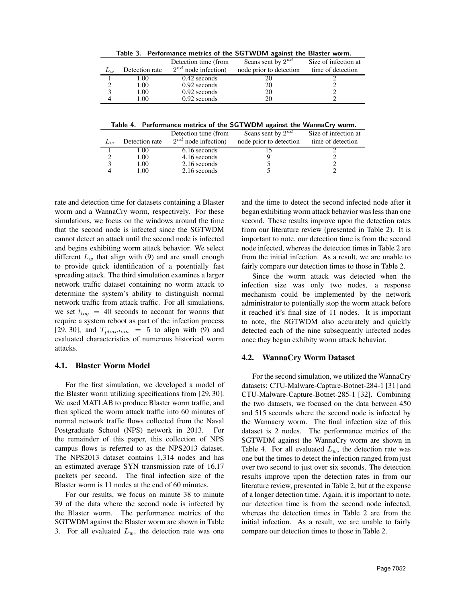Table 3. Performance metrics of the SGTWDM against the Blaster worm.

|         |                | Detection time (from     | Scans sent by $2^{nd}$  | Size of infection at |
|---------|----------------|--------------------------|-------------------------|----------------------|
| $L_{w}$ | Detection rate | $2^{nd}$ node infection) | node prior to detection | time of detection    |
|         | .00            | $0.42$ seconds           |                         |                      |
|         | 1.00           | $0.92$ seconds           | 20                      |                      |
|         | l.00           | $0.92$ seconds           | 20                      |                      |
|         | .00            | $0.92$ seconds           | 20                      |                      |

Table 4. Performance metrics of the SGTWDM against the WannaCry worm.

|          |                | Detection time (from     | Scans sent by $2^{nd}$  | Size of infection at |
|----------|----------------|--------------------------|-------------------------|----------------------|
| $L_{10}$ | Detection rate | $2^{nd}$ node infection) | node prior to detection | time of detection    |
|          | .00.           | 6.16 seconds             |                         |                      |
|          | 1.00           | 4.16 seconds             |                         |                      |
|          | 1.00           | 2.16 seconds             |                         |                      |
|          | 1.00           | 2.16 seconds             |                         |                      |
|          |                |                          |                         |                      |

rate and detection time for datasets containing a Blaster worm and a WannaCry worm, respectively. For these simulations, we focus on the windows around the time that the second node is infected since the SGTWDM cannot detect an attack until the second node is infected and begins exhibiting worm attack behavior. We select different  $L_w$  that align with (9) and are small enough to provide quick identification of a potentially fast spreading attack. The third simulation examines a larger network traffic dataset containing no worm attack to determine the system's ability to distinguish normal network traffic from attack traffic. For all simulations, we set  $t_{log}$  = 40 seconds to account for worms that require a system reboot as part of the infection process [29, 30], and  $T_{phantom}$  = 5 to align with (9) and evaluated characteristics of numerous historical worm attacks.

#### 4.1. Blaster Worm Model

For the first simulation, we developed a model of the Blaster worm utilizing specifications from [29, 30]. We used MATLAB to produce Blaster worm traffic, and then spliced the worm attack traffic into 60 minutes of normal network traffic flows collected from the Naval Postgraduate School (NPS) network in 2013. For the remainder of this paper, this collection of NPS campus flows is referred to as the NPS2013 dataset. The NPS2013 dataset contains 1,314 nodes and has an estimated average SYN transmission rate of 16.17 packets per second. The final infection size of the Blaster worm is 11 nodes at the end of 60 minutes.

For our results, we focus on minute 38 to minute 39 of the data where the second node is infected by the Blaster worm. The performance metrics of the SGTWDM against the Blaster worm are shown in Table 3. For all evaluated  $L_w$ , the detection rate was one

and the time to detect the second infected node after it began exhibiting worm attack behavior was less than one second. These results improve upon the detection rates from our literature review (presented in Table 2). It is important to note, our detection time is from the second node infected, whereas the detection times in Table 2 are from the initial infection. As a result, we are unable to fairly compare our detection times to those in Table 2.

Since the worm attack was detected when the infection size was only two nodes, a response mechanism could be implemented by the network administrator to potentially stop the worm attack before it reached it's final size of 11 nodes. It is important to note, the SGTWDM also accurately and quickly detected each of the nine subsequently infected nodes once they began exhibity worm attack behavior.

#### 4.2. WannaCry Worm Dataset

For the second simulation, we utilized the WannaCry datasets: CTU-Malware-Capture-Botnet-284-1 [31] and CTU-Malware-Capture-Botnet-285-1 [32]. Combining the two datasets, we focused on the data between 450 and 515 seconds where the second node is infected by the Wannacry worm. The final infection size of this dataset is 2 nodes. The performance metrics of the SGTWDM against the WannaCry worm are shown in Table 4. For all evaluated  $L_w$ , the detection rate was one but the times to detect the infection ranged from just over two second to just over six seconds. The detection results improve upon the detection rates in from our literature review, presented in Table 2, but at the expense of a longer detection time. Again, it is important to note, our detection time is from the second node infected, whereas the detection times in Table 2 are from the initial infection. As a result, we are unable to fairly compare our detection times to those in Table 2.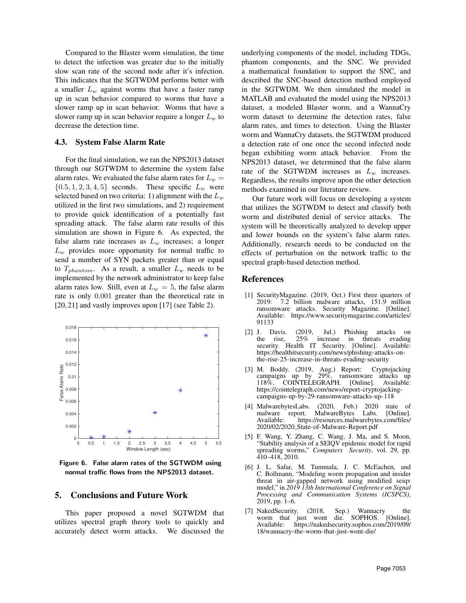Compared to the Blaster worm simulation, the time to detect the infection was greater due to the initially slow scan rate of the second node after it's infection. This indicates that the SGTWDM performs better with a smaller  $L_w$  against worms that have a faster ramp up in scan behavior compared to worms that have a slower ramp up in scan behavior. Worms that have a slower ramp up in scan behavior require a longer  $L_w$  to decrease the detection time.

## 4.3. System False Alarm Rate

For the final simulation, we ran the NPS2013 dataset through our SGTWDM to determine the system false alarm rates. We evaluated the false alarm rates for  $L_w =$  $\{0.5, 1, 2, 3, 4, 5\}$  seconds. These specific  $L_w$  were selected based on two criteria: 1) alignment with the  $L_w$ utilized in the first two simulations, and 2) requirement to provide quick identification of a potentially fast spreading attack. The false alarm rate results of this simulation are shown in Figure 6. As expected, the false alarm rate increases as  $L_w$  increases; a longer  $L_w$  provides more opportunity for normal traffic to send a number of SYN packets greater than or equal to  $T_{phantom}$ . As a result, a smaller  $L_w$  needs to be implemented by the network administrator to keep false alarm rates low. Still, even at  $L_w = 5$ , the false alarm rate is only 0.001 greater than the theoretical rate in [20, 21] and vastly improves upon [17] (see Table 2).



Figure 6. False alarm rates of the SGTWDM using normal traffic flows from the NPS2013 dataset.

## 5. Conclusions and Future Work

This paper proposed a novel SGTWDM that utilizes spectral graph theory tools to quickly and accurately detect worm attacks. We discussed the

underlying components of the model, including TDGs, phantom components, and the SNC. We provided a mathematical foundation to support the SNC, and described the SNC-based detection method employed in the SGTWDM. We then simulated the model in MATLAB and evaluated the model using the NPS2013 dataset, a modeled Blaster worm, and a WannaCry worm dataset to determine the detection rates, false alarm rates, and times to detection. Using the Blaster worm and WannaCry datasets, the SGTWDM produced a detection rate of one once the second infected node began exhibiting worm attack behavior. From the NPS2013 dataset, we determined that the false alarm rate of the SGTWDM increases as  $L_w$  increases. Regardless, the results improve upon the other detection methods examined in our literature review.

Our future work will focus on developing a system that utilizes the SGTWDM to detect and classify both worm and distributed denial of service attacks. The system will be theoretically analyzed to develop upper and lower bounds on the system's false alarm rates. Additionally, research needs to be conducted on the effects of perturbation on the network traffic to the spectral graph-based detection method.

## References

- [1] SecurityMagazine. (2019, Oct.) First three quarters of 7.2 billion malware attacks, 151.9 million ransomware attacks. Security Magazine. [Online]. Available: https://www.securitymagazine.com/articles/ 91133
- [2] J. Davis. (2019, Jul.) Phishing attacks on the rise, security. Health IT Security. [Online]. Available: https://healthitsecurity.com/news/phishing-attacks-onthe-rise-25-increase-in-threats-evading-security
- [3] M. Boddy. (2019, Aug.) Report: Cryptojacking campaigns up by 29%, ransomware attacks up 118%. COINTELEGRAPH. [Online]. Available: https://cointelegraph.com/news/report-cryptojackingcampaigns-up-by-29-ransomware-attacks-up-118
- [4] MalwarebytesLabs. (2020, Feb.) 2020 state of malware report. MalwareBytes<br>Available: https://resources.maly https://resources.malwarebytes.com/files/ 2020/02/2020 State-of-Malware-Report.pdf
- [5] F. Wang, Y. Zhang, C. Wang, J. Ma, and S. Moon, "Stability analysis of a SEIQV epidemic model for rapid spreading worms," *Computers Security*, vol. 29, pp. 410–418, 2010.
- [6] J. L. Safar, M. Tummala, J. C. McEachen, and C. Bollmann, "Modeling worm propagation and insider threat in air-gapped network using modified seiqv model," in *2019 13th International Conference on Signal Processing and Communication Systems (ICSPCS)*, 2019, pp. 1–6.
- [7] NakedSecurity. (2018, Sep.) Wannacry the worm that just wont die. SOPHOS. [Online]. Available: https://nakedsecurity.sophos.com/2019/09/ 18/wannacry-the-worm-that-just-wont-die/